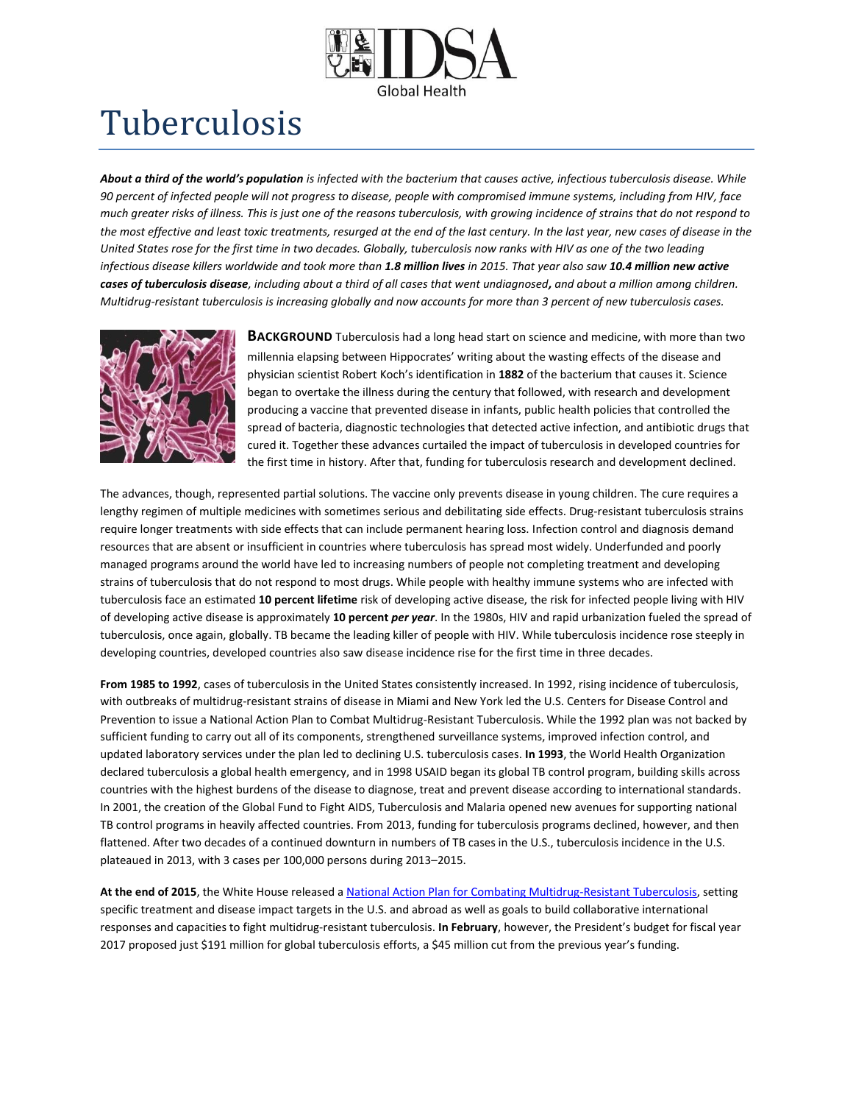

## Tuberculosis

*About a third of the world's population is infected with the bacterium that causes active, infectious tuberculosis disease. While 90 percent of infected people will not progress to disease, people with compromised immune systems, including from HIV, face much greater risks of illness. This is just one of the reasons tuberculosis, with growing incidence of strains that do not respond to the most effective and least toxic treatments, resurged at the end of the last century. In the last year, new cases of disease in the United States rose for the first time in two decades. Globally, tuberculosis now ranks with HIV as one of the two leading infectious disease killers worldwide and took more than 1.8 million lives in 2015. That year also saw 10.4 million new active cases of tuberculosis disease, including about a third of all cases that went undiagnosed, and about a million among children. Multidrug-resistant tuberculosis is increasing globally and now accounts for more than 3 percent of new tuberculosis cases.*



**BACKGROUND** Tuberculosis had a long head start on science and medicine, with more than two millennia elapsing between Hippocrates' writing about the wasting effects of the disease and physician scientist Robert Koch's identification in **1882** of the bacterium that causes it. Science began to overtake the illness during the century that followed, with research and development producing a vaccine that prevented disease in infants, public health policies that controlled the spread of bacteria, diagnostic technologies that detected active infection, and antibiotic drugs that cured it. Together these advances curtailed the impact of tuberculosis in developed countries for the first time in history. After that, funding for tuberculosis research and development declined.

The advances, though, represented partial solutions. The vaccine only prevents disease in young children. The cure requires a lengthy regimen of multiple medicines with sometimes serious and debilitating side effects. Drug-resistant tuberculosis strains require longer treatments with side effects that can include permanent hearing loss. Infection control and diagnosis demand resources that are absent or insufficient in countries where tuberculosis has spread most widely. Underfunded and poorly managed programs around the world have led to increasing numbers of people not completing treatment and developing strains of tuberculosis that do not respond to most drugs. While people with healthy immune systems who are infected with tuberculosis face an estimated **10 percent lifetime** risk of developing active disease, the risk for infected people living with HIV of developing active disease is approximately **10 percent** *per year*. In the 1980s, HIV and rapid urbanization fueled the spread of tuberculosis, once again, globally. TB became the leading killer of people with HIV. While tuberculosis incidence rose steeply in developing countries, developed countries also saw disease incidence rise for the first time in three decades.

**From 1985 to 1992**, cases of tuberculosis in the United States consistently increased. In 1992, rising incidence of tuberculosis, with outbreaks of multidrug-resistant strains of disease in Miami and New York led the U.S. Centers for Disease Control and Prevention to issue a National Action Plan to Combat Multidrug-Resistant Tuberculosis. While the 1992 plan was not backed by sufficient funding to carry out all of its components, strengthened surveillance systems, improved infection control, and updated laboratory services under the plan led to declining U.S. tuberculosis cases. **In 1993**, the World Health Organization declared tuberculosis a global health emergency, and in 1998 USAID began its global TB control program, building skills across countries with the highest burdens of the disease to diagnose, treat and prevent disease according to international standards. In 2001, the creation of the Global Fund to Fight AIDS, Tuberculosis and Malaria opened new avenues for supporting national TB control programs in heavily affected countries. From 2013, funding for tuberculosis programs declined, however, and then flattened. After two decades of a continued downturn in numbers of TB cases in the U.S., tuberculosis incidence in the U.S. plateaued in 2013, with 3 cases per 100,000 persons during 2013–2015.

**At the end of 2015**, the White House released a [National Action Plan for Combating Multidrug-Resistant Tuberculosis,](https://www.whitehouse.gov/sites/default/files/microsites/ostp/national_action_plan_for_tuberculosis_20151204_final.pdf) setting specific treatment and disease impact targets in the U.S. and abroad as well as goals to build collaborative international responses and capacities to fight multidrug-resistant tuberculosis. **In February**, however, the President's budget for fiscal year 2017 proposed just \$191 million for global tuberculosis efforts, a \$45 million cut from the previous year's funding.